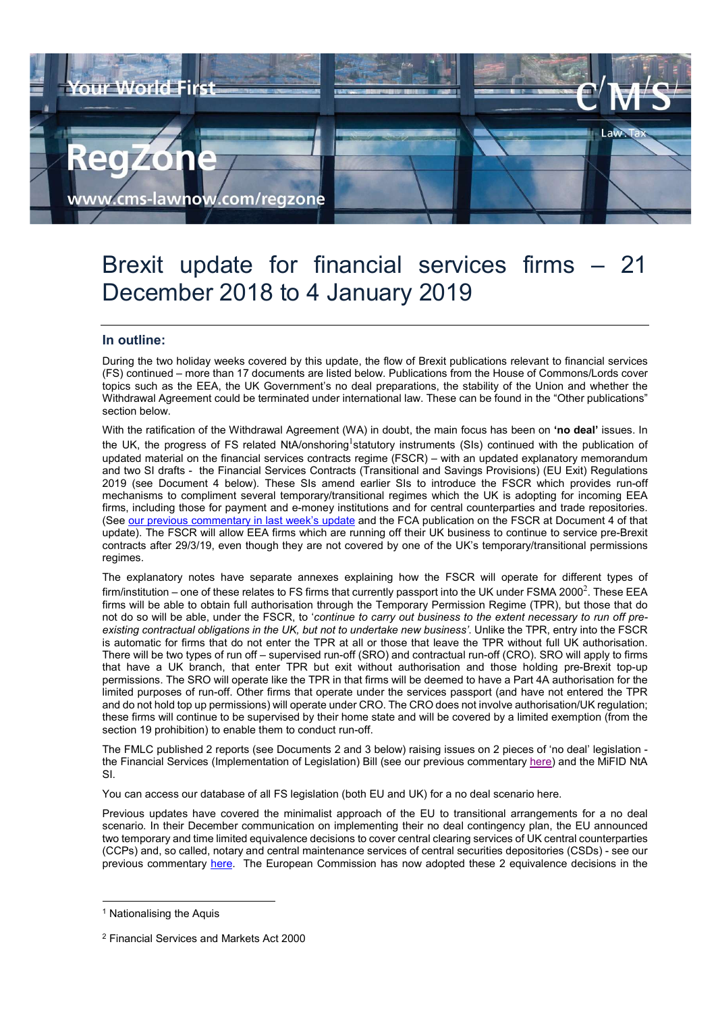

# Brexit update for financial services firms – 21 December 2018 to 4 January 2019

# In outline:

During the two holiday weeks covered by this update, the flow of Brexit publications relevant to financial services (FS) continued – more than 17 documents are listed below. Publications from the House of Commons/Lords cover topics such as the EEA, the UK Government's no deal preparations, the stability of the Union and whether the Withdrawal Agreement could be terminated under international law. These can be found in the "Other publications" section below.

With the ratification of the Withdrawal Agreement (WA) in doubt, the main focus has been on 'no deal' issues. In the UK, the progress of FS related NtA/onshoring<sup>1</sup>statutory instruments (SIs) continued with the publication of updated material on the financial services contracts regime (FSCR) – with an updated explanatory memorandum and two SI drafts - the Financial Services Contracts (Transitional and Savings Provisions) (EU Exit) Regulations 2019 (see Document 4 below). These SIs amend earlier SIs to introduce the FSCR which provides run-off mechanisms to compliment several temporary/transitional regimes which the UK is adopting for incoming EEA firms, including those for payment and e-money institutions and for central counterparties and trade repositories. (See our previous commentary in last week's update and the FCA publication on the FSCR at Document 4 of that update). The FSCR will allow EEA firms which are running off their UK business to continue to service pre-Brexit contracts after 29/3/19, even though they are not covered by one of the UK's temporary/transitional permissions regimes.

The explanatory notes have separate annexes explaining how the FSCR will operate for different types of firm/institution – one of these relates to FS firms that currently passport into the UK under FSMA 2000 $^2$ . These EEA firms will be able to obtain full authorisation through the Temporary Permission Regime (TPR), but those that do not do so will be able, under the FSCR, to 'continue to carry out business to the extent necessary to run off preexisting contractual obligations in the UK, but not to undertake new business'. Unlike the TPR, entry into the FSCR is automatic for firms that do not enter the TPR at all or those that leave the TPR without full UK authorisation. There will be two types of run off – supervised run-off (SRO) and contractual run-off (CRO). SRO will apply to firms that have a UK branch, that enter TPR but exit without authorisation and those holding pre-Brexit top-up permissions. The SRO will operate like the TPR in that firms will be deemed to have a Part 4A authorisation for the limited purposes of run-off. Other firms that operate under the services passport (and have not entered the TPR and do not hold top up permissions) will operate under CRO. The CRO does not involve authorisation/UK regulation; these firms will continue to be supervised by their home state and will be covered by a limited exemption (from the section 19 prohibition) to enable them to conduct run-off.

The FMLC published 2 reports (see Documents 2 and 3 below) raising issues on 2 pieces of 'no deal' legislation the Financial Services (Implementation of Legislation) Bill (see our previous commentary here) and the MiFID NtA SI.

You can access our database of all FS legislation (both EU and UK) for a no deal scenario here.

Previous updates have covered the minimalist approach of the EU to transitional arrangements for a no deal scenario. In their December communication on implementing their no deal contingency plan, the EU announced two temporary and time limited equivalence decisions to cover central clearing services of UK central counterparties (CCPs) and, so called, notary and central maintenance services of central securities depositories (CSDs) - see our previous commentary here. The European Commission has now adopted these 2 equivalence decisions in the

-

<sup>&</sup>lt;sup>1</sup> Nationalising the Aquis

<sup>2</sup> Financial Services and Markets Act 2000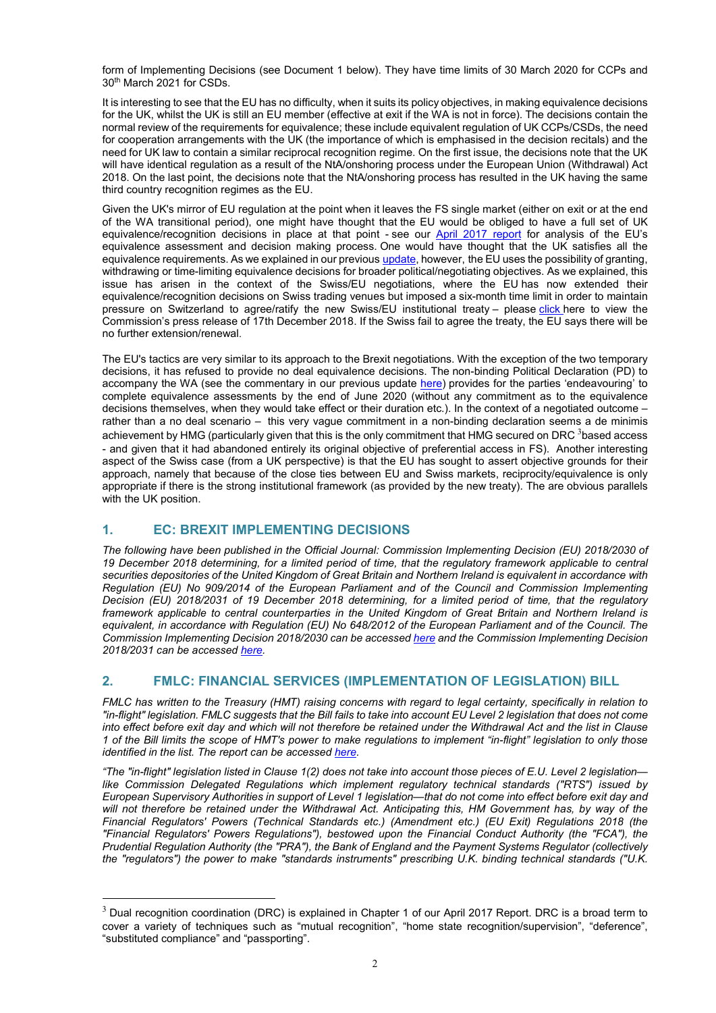form of Implementing Decisions (see Document 1 below). They have time limits of 30 March 2020 for CCPs and 30th March 2021 for CSDs.

It is interesting to see that the EU has no difficulty, when it suits its policy objectives, in making equivalence decisions for the UK, whilst the UK is still an EU member (effective at exit if the WA is not in force). The decisions contain the normal review of the requirements for equivalence; these include equivalent regulation of UK CCPs/CSDs, the need for cooperation arrangements with the UK (the importance of which is emphasised in the decision recitals) and the need for UK law to contain a similar reciprocal recognition regime. On the first issue, the decisions note that the UK will have identical regulation as a result of the NtA/onshoring process under the European Union (Withdrawal) Act 2018. On the last point, the decisions note that the NtA/onshoring process has resulted in the UK having the same third country recognition regimes as the EU.

Given the UK's mirror of EU regulation at the point when it leaves the FS single market (either on exit or at the end of the WA transitional period), one might have thought that the EU would be obliged to have a full set of UK equivalence/recognition decisions in place at that point - see our April 2017 report for analysis of the EU's equivalence assessment and decision making process. One would have thought that the UK satisfies all the equivalence requirements. As we explained in our previous update, however, the EU uses the possibility of granting, withdrawing or time-limiting equivalence decisions for broader political/negotiating objectives. As we explained, this issue has arisen in the context of the Swiss/EU negotiations, where the EU has now extended their equivalence/recognition decisions on Swiss trading venues but imposed a six-month time limit in order to maintain pressure on Switzerland to agree/ratify the new Swiss/EU institutional treaty – please click here to view the Commission's press release of 17th December 2018. If the Swiss fail to agree the treaty, the EU says there will be no further extension/renewal.

The EU's tactics are very similar to its approach to the Brexit negotiations. With the exception of the two temporary decisions, it has refused to provide no deal equivalence decisions. The non-binding Political Declaration (PD) to accompany the WA (see the commentary in our previous update here) provides for the parties 'endeavouring' to complete equivalence assessments by the end of June 2020 (without any commitment as to the equivalence decisions themselves, when they would take effect or their duration etc.). In the context of a negotiated outcome – rather than a no deal scenario – this very vague commitment in a non-binding declaration seems a de minimis achievement by HMG (particularly given that this is the only commitment that HMG secured on DRC <sup>3</sup>based access - and given that it had abandoned entirely its original objective of preferential access in FS). Another interesting aspect of the Swiss case (from a UK perspective) is that the EU has sought to assert objective grounds for their approach, namely that because of the close ties between EU and Swiss markets, reciprocity/equivalence is only appropriate if there is the strong institutional framework (as provided by the new treaty). The are obvious parallels with the UK position.

# 1. EC: BREXIT IMPLEMENTING DECISIONS

-

The following have been published in the Official Journal: Commission Implementing Decision (EU) 2018/2030 of 19 December 2018 determining, for a limited period of time, that the regulatory framework applicable to central securities depositories of the United Kingdom of Great Britain and Northern Ireland is equivalent in accordance with Regulation (EU) No 909/2014 of the European Parliament and of the Council and Commission Implementing Decision (EU) 2018/2031 of 19 December 2018 determining, for a limited period of time, that the regulatory framework applicable to central counterparties in the United Kingdom of Great Britain and Northern Ireland is equivalent, in accordance with Regulation (EU) No 648/2012 of the European Parliament and of the Council. The Commission Implementing Decision 2018/2030 can be accessed here and the Commission Implementing Decision 2018/2031 can be accessed here.

# 2. FMLC: FINANCIAL SERVICES (IMPLEMENTATION OF LEGISLATION) BILL

FMLC has written to the Treasury (HMT) raising concerns with regard to legal certainty, specifically in relation to "in-flight" legislation. FMLC suggests that the Bill fails to take into account EU Level 2 legislation that does not come into effect before exit day and which will not therefore be retained under the Withdrawal Act and the list in Clause 1 of the Bill limits the scope of HMT's power to make regulations to implement "in-flight" legislation to only those identified in the list. The report can be accessed here.

"The "in-flight" legislation listed in Clause 1(2) does not take into account those pieces of E.U. Level 2 legislation like Commission Delegated Regulations which implement regulatory technical standards ("RTS") issued by European Supervisory Authorities in support of Level 1 legislation—that do not come into effect before exit day and will not therefore be retained under the Withdrawal Act. Anticipating this, HM Government has, by way of the Financial Regulators' Powers (Technical Standards etc.) (Amendment etc.) (EU Exit) Regulations 2018 (the "Financial Regulators' Powers Regulations"), bestowed upon the Financial Conduct Authority (the "FCA"), the Prudential Regulation Authority (the "PRA"), the Bank of England and the Payment Systems Regulator (collectively the "regulators") the power to make "standards instruments" prescribing U.K. binding technical standards ("U.K.

 $3$  Dual recognition coordination (DRC) is explained in Chapter 1 of our April 2017 Report. DRC is a broad term to cover a variety of techniques such as "mutual recognition", "home state recognition/supervision", "deference", "substituted compliance" and "passporting".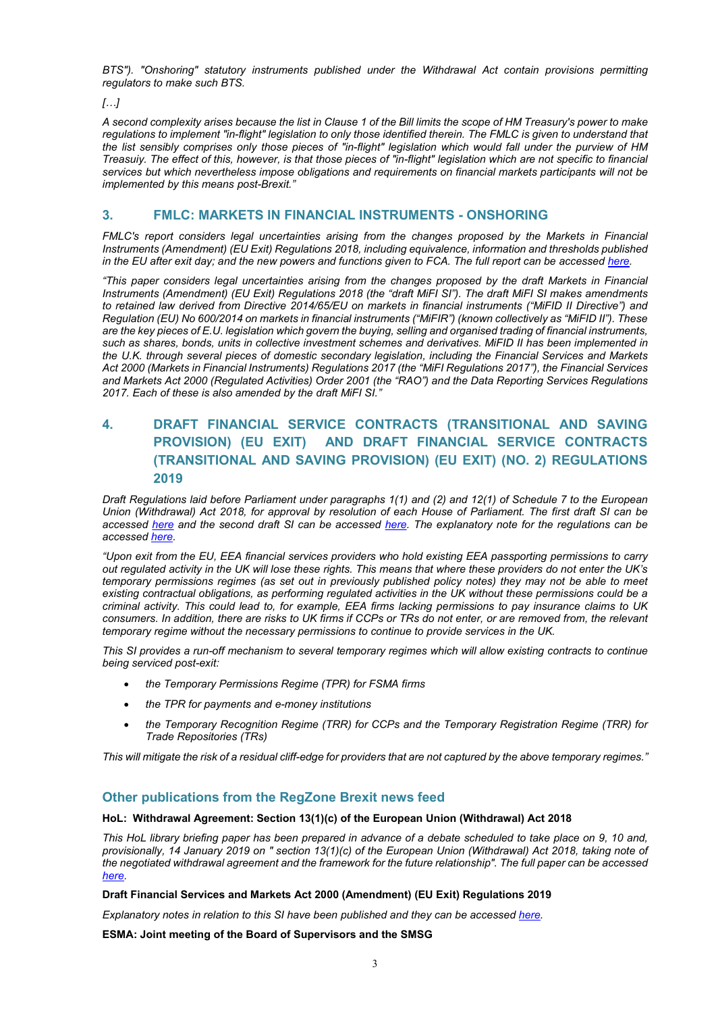BTS"). "Onshoring" statutory instruments published under the Withdrawal Act contain provisions permitting regulators to make such BTS.

 $[...]$ 

A second complexity arises because the list in Clause 1 of the Bill limits the scope of HM Treasury's power to make regulations to implement "in-flight" legislation to only those identified therein. The FMLC is given to understand that the list sensibly comprises only those pieces of "in-flight" legislation which would fall under the purview of HM Treasuiy. The effect of this, however, is that those pieces of "in-flight" legislation which are not specific to financial services but which nevertheless impose obligations and requirements on financial markets participants will not be implemented by this means post-Brexit."

# 3. FMLC: MARKETS IN FINANCIAL INSTRUMENTS - ONSHORING

FMLC's report considers legal uncertainties arising from the changes proposed by the Markets in Financial Instruments (Amendment) (EU Exit) Regulations 2018, including equivalence, information and thresholds published in the EU after exit day; and the new powers and functions given to FCA. The full report can be accessed here.

"This paper considers legal uncertainties arising from the changes proposed by the draft Markets in Financial Instruments (Amendment) (EU Exit) Regulations 2018 (the "draft MiFI SI"). The draft MiFI SI makes amendments to retained law derived from Directive 2014/65/EU on markets in financial instruments ("MiFID II Directive") and Regulation (EU) No 600/2014 on markets in financial instruments ("MiFIR") (known collectively as "MiFID II"). These are the key pieces of E.U. legislation which govern the buying, selling and organised trading of financial instruments, such as shares, bonds, units in collective investment schemes and derivatives. MiFID II has been implemented in the U.K. through several pieces of domestic secondary legislation, including the Financial Services and Markets Act 2000 (Markets in Financial Instruments) Regulations 2017 (the "MiFI Regulations 2017"), the Financial Services and Markets Act 2000 (Regulated Activities) Order 2001 (the "RAO") and the Data Reporting Services Regulations 2017. Each of these is also amended by the draft MiFI SI."

# 4. DRAFT FINANCIAL SERVICE CONTRACTS (TRANSITIONAL AND SAVING PROVISION) (EU EXIT) AND DRAFT FINANCIAL SERVICE CONTRACTS (TRANSITIONAL AND SAVING PROVISION) (EU EXIT) (NO. 2) REGULATIONS 2019

Draft Regulations laid before Parliament under paragraphs 1(1) and (2) and 12(1) of Schedule 7 to the European Union (Withdrawal) Act 2018, for approval by resolution of each House of Parliament. The first draft SI can be accessed here and the second draft SI can be accessed here. The explanatory note for the regulations can be accessed here.

"Upon exit from the EU, EEA financial services providers who hold existing EEA passporting permissions to carry out regulated activity in the UK will lose these rights. This means that where these providers do not enter the UK's temporary permissions regimes (as set out in previously published policy notes) they may not be able to meet existing contractual obligations, as performing regulated activities in the UK without these permissions could be a criminal activity. This could lead to, for example, EEA firms lacking permissions to pay insurance claims to UK consumers. In addition, there are risks to UK firms if CCPs or TRs do not enter, or are removed from, the relevant temporary regime without the necessary permissions to continue to provide services in the UK.

This SI provides a run-off mechanism to several temporary regimes which will allow existing contracts to continue being serviced post-exit:

- the Temporary Permissions Regime (TPR) for FSMA firms
- the TPR for payments and e-money institutions
- the Temporary Recognition Regime (TRR) for CCPs and the Temporary Registration Regime (TRR) for Trade Repositories (TRs)

This will mitigate the risk of a residual cliff-edge for providers that are not captured by the above temporary regimes."

# Other publications from the RegZone Brexit news feed

# HoL: Withdrawal Agreement: Section 13(1)(c) of the European Union (Withdrawal) Act 2018

This HoL library briefing paper has been prepared in advance of a debate scheduled to take place on 9, 10 and, provisionally, 14 January 2019 on " section 13(1)(c) of the European Union (Withdrawal) Act 2018, taking note of the negotiated withdrawal agreement and the framework for the future relationship". The full paper can be accessed here.

# Draft Financial Services and Markets Act 2000 (Amendment) (EU Exit) Regulations 2019

Explanatory notes in relation to this SI have been published and they can be accessed here.

ESMA: Joint meeting of the Board of Supervisors and the SMSG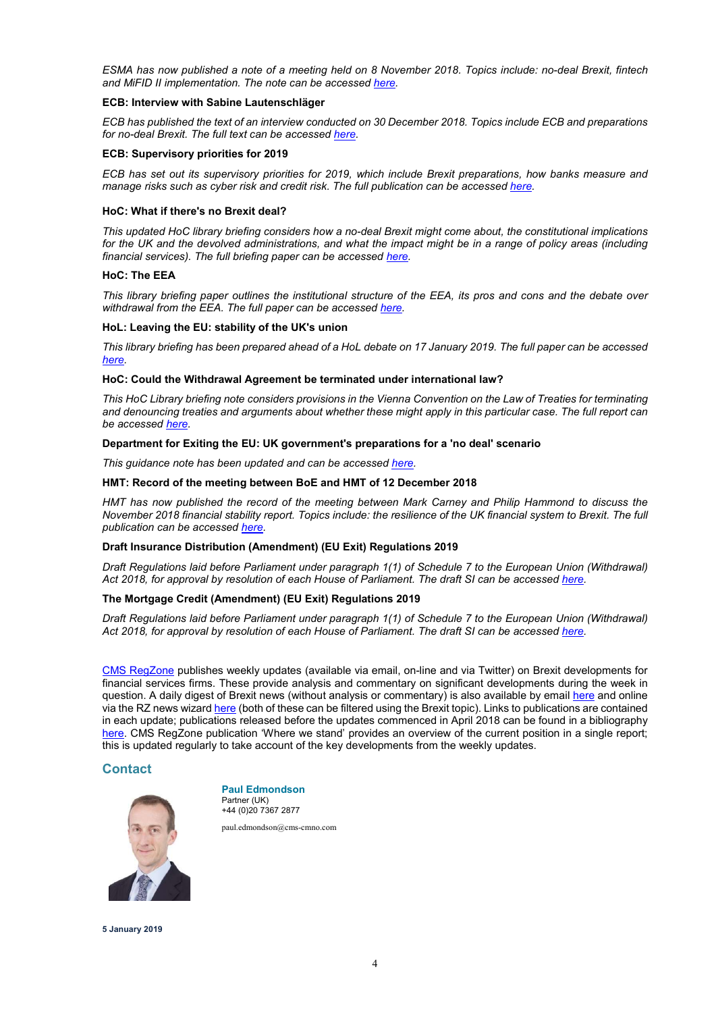ESMA has now published a note of a meeting held on 8 November 2018. Topics include: no-deal Brexit, fintech and MiFID II implementation. The note can be accessed here.

# ECB: Interview with Sabine Lautenschläger

ECB has published the text of an interview conducted on 30 December 2018. Topics include ECB and preparations for no-deal Brexit. The full text can be accessed here.

## ECB: Supervisory priorities for 2019

ECB has set out its supervisory priorities for 2019, which include Brexit preparations, how banks measure and manage risks such as cyber risk and credit risk. The full publication can be accessed here.

## HoC: What if there's no Brexit deal?

This updated HoC library briefing considers how a no-deal Brexit might come about, the constitutional implications for the UK and the devolved administrations, and what the impact might be in a range of policy areas (including financial services). The full briefing paper can be accessed here.

#### HoC: The EEA

This library briefing paper outlines the institutional structure of the EEA, its pros and cons and the debate over withdrawal from the EEA. The full paper can be accessed here.

#### HoL: Leaving the EU: stability of the UK's union

This library briefing has been prepared ahead of a HoL debate on 17 January 2019. The full paper can be accessed here.

## HoC: Could the Withdrawal Agreement be terminated under international law?

This HoC Library briefing note considers provisions in the Vienna Convention on the Law of Treaties for terminating and denouncing treaties and arguments about whether these might apply in this particular case. The full report can be accessed here.

# Department for Exiting the EU: UK government's preparations for a 'no deal' scenario

This guidance note has been updated and can be accessed here.

## HMT: Record of the meeting between BoE and HMT of 12 December 2018

HMT has now published the record of the meeting between Mark Carney and Philip Hammond to discuss the November 2018 financial stability report. Topics include: the resilience of the UK financial system to Brexit. The full publication can be accessed here.

## Draft Insurance Distribution (Amendment) (EU Exit) Regulations 2019

Draft Regulations laid before Parliament under paragraph 1(1) of Schedule 7 to the European Union (Withdrawal) Act 2018, for approval by resolution of each House of Parliament. The draft SI can be accessed here.

# The Mortgage Credit (Amendment) (EU Exit) Regulations 2019

Draft Regulations laid before Parliament under paragraph 1(1) of Schedule 7 to the European Union (Withdrawal) Act 2018, for approval by resolution of each House of Parliament. The draft SI can be accessed here.

CMS RegZone publishes weekly updates (available via email, on-line and via Twitter) on Brexit developments for financial services firms. These provide analysis and commentary on significant developments during the week in question. A daily digest of Brexit news (without analysis or commentary) is also available by email here and online via the RZ news wizard here (both of these can be filtered using the Brexit topic). Links to publications are contained in each update; publications released before the updates commenced in April 2018 can be found in a bibliography here. CMS RegZone publication 'Where we stand' provides an overview of the current position in a single report; this is updated regularly to take account of the key developments from the weekly updates.

# **Contact**



+44 (0)20 7367 2877

paul.edmondson@cms-cmno.com



5 January 2019